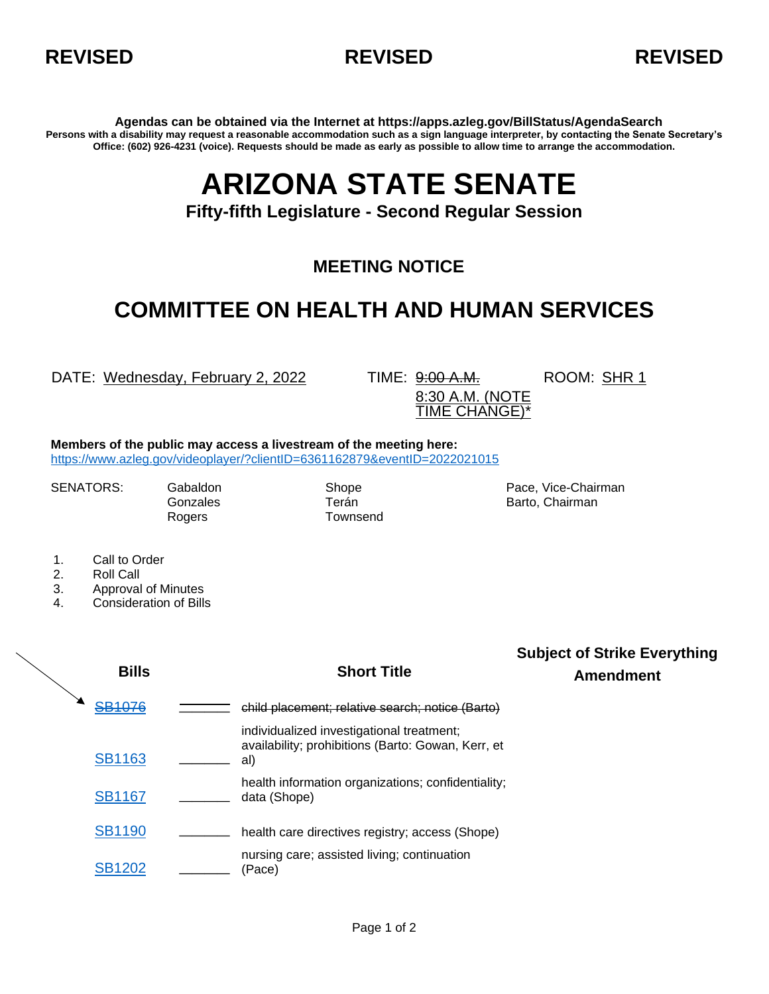



**Agendas can be obtained via the Internet at https://apps.azleg.gov/BillStatus/AgendaSearch Persons with a disability may request a reasonable accommodation such as a sign language interpreter, by contacting the Senate Secretary's Office: (602) 926-4231 (voice). Requests should be made as early as possible to allow time to arrange the accommodation.**

## **ARIZONA STATE SENATE**

**Fifty-fifth Legislature - Second Regular Session**

## **MEETING NOTICE**

## **COMMITTEE ON HEALTH AND HUMAN SERVICES**

DATE: Wednesday, February 2, 2022 TIME: 9:00 A.M.

ROOM: SHR 1

8:30 A.M. (NOTE TIME CHANGE)\*

**Members of the public may access a livestream of the meeting here:**  <https://www.azleg.gov/videoplayer/?clientID=6361162879&eventID=2022021015>

Rogers Townsend

SENATORS: Gabaldon Shope Shope Pace, Vice-Chairman Gonzales **Terán** Terán Barto, Chairman

- 1. Call to Order
- 2. Roll Call
- 3. Approval of Minutes
- 4. Consideration of Bills

**Bills Short Title Subject of Strike Everything Amendment** [SB1076](https://apps.azleg.gov/BillStatus/BillOverview/76356) **\_\_\_\_** child placement; relative search; notice (Barto) [SB1163](https://apps.azleg.gov/BillStatus/BillOverview/76635) **\_\_\_\_** individualized investigational treatment; availability; prohibitions (Barto: Gowan, Kerr, et al) [SB1167](https://apps.azleg.gov/BillStatus/BillOverview/76633) **\_\_\_\_** health information organizations; confidentiality; \_ data (Shope) [SB1190](https://apps.azleg.gov/BillStatus/BillOverview/76725) **\_\_\_\_** health care directives registry; access (Shope) [SB1202](https://apps.azleg.gov/BillStatus/BillOverview/76927) **\_\_\_\_** nursing care; assisted living; continuation (Pace)